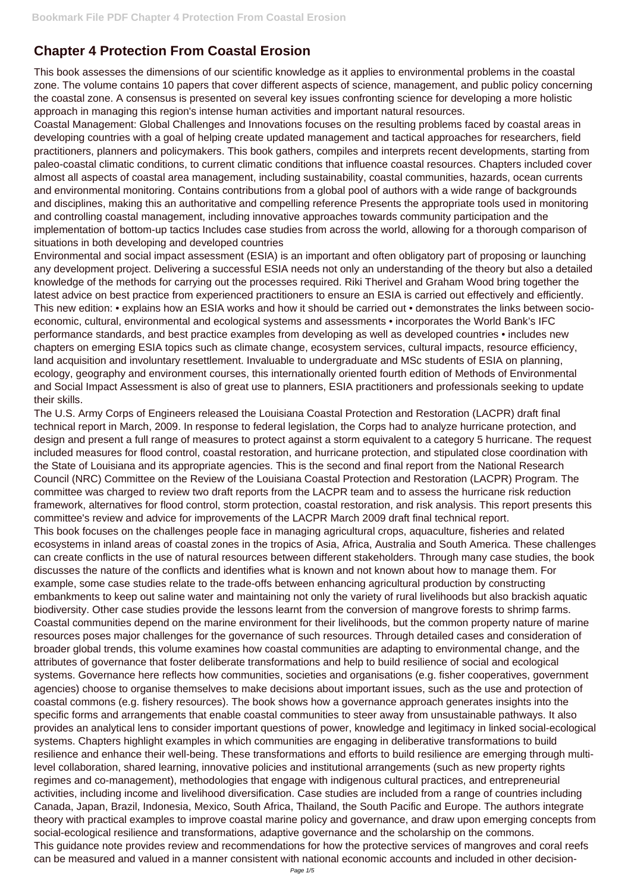## **Chapter 4 Protection From Coastal Erosion**

This book assesses the dimensions of our scientific knowledge as it applies to environmental problems in the coastal zone. The volume contains 10 papers that cover different aspects of science, management, and public policy concerning the coastal zone. A consensus is presented on several key issues confronting science for developing a more holistic approach in managing this region's intense human activities and important natural resources.

Coastal Management: Global Challenges and Innovations focuses on the resulting problems faced by coastal areas in developing countries with a goal of helping create updated management and tactical approaches for researchers, field practitioners, planners and policymakers. This book gathers, compiles and interprets recent developments, starting from paleo-coastal climatic conditions, to current climatic conditions that influence coastal resources. Chapters included cover almost all aspects of coastal area management, including sustainability, coastal communities, hazards, ocean currents and environmental monitoring. Contains contributions from a global pool of authors with a wide range of backgrounds and disciplines, making this an authoritative and compelling reference Presents the appropriate tools used in monitoring and controlling coastal management, including innovative approaches towards community participation and the implementation of bottom-up tactics Includes case studies from across the world, allowing for a thorough comparison of situations in both developing and developed countries

Environmental and social impact assessment (ESIA) is an important and often obligatory part of proposing or launching any development project. Delivering a successful ESIA needs not only an understanding of the theory but also a detailed knowledge of the methods for carrying out the processes required. Riki Therivel and Graham Wood bring together the latest advice on best practice from experienced practitioners to ensure an ESIA is carried out effectively and efficiently. This new edition: • explains how an ESIA works and how it should be carried out • demonstrates the links between socioeconomic, cultural, environmental and ecological systems and assessments • incorporates the World Bank's IFC performance standards, and best practice examples from developing as well as developed countries • includes new chapters on emerging ESIA topics such as climate change, ecosystem services, cultural impacts, resource efficiency, land acquisition and involuntary resettlement. Invaluable to undergraduate and MSc students of ESIA on planning, ecology, geography and environment courses, this internationally oriented fourth edition of Methods of Environmental and Social Impact Assessment is also of great use to planners, ESIA practitioners and professionals seeking to update their skills.

The U.S. Army Corps of Engineers released the Louisiana Coastal Protection and Restoration (LACPR) draft final technical report in March, 2009. In response to federal legislation, the Corps had to analyze hurricane protection, and design and present a full range of measures to protect against a storm equivalent to a category 5 hurricane. The request included measures for flood control, coastal restoration, and hurricane protection, and stipulated close coordination with the State of Louisiana and its appropriate agencies. This is the second and final report from the National Research Council (NRC) Committee on the Review of the Louisiana Coastal Protection and Restoration (LACPR) Program. The committee was charged to review two draft reports from the LACPR team and to assess the hurricane risk reduction framework, alternatives for flood control, storm protection, coastal restoration, and risk analysis. This report presents this committee's review and advice for improvements of the LACPR March 2009 draft final technical report. This book focuses on the challenges people face in managing agricultural crops, aquaculture, fisheries and related ecosystems in inland areas of coastal zones in the tropics of Asia, Africa, Australia and South America. These challenges can create conflicts in the use of natural resources between different stakeholders. Through many case studies, the book discusses the nature of the conflicts and identifies what is known and not known about how to manage them. For example, some case studies relate to the trade-offs between enhancing agricultural production by constructing embankments to keep out saline water and maintaining not only the variety of rural livelihoods but also brackish aquatic biodiversity. Other case studies provide the lessons learnt from the conversion of mangrove forests to shrimp farms. Coastal communities depend on the marine environment for their livelihoods, but the common property nature of marine resources poses major challenges for the governance of such resources. Through detailed cases and consideration of broader global trends, this volume examines how coastal communities are adapting to environmental change, and the attributes of governance that foster deliberate transformations and help to build resilience of social and ecological systems. Governance here reflects how communities, societies and organisations (e.g. fisher cooperatives, government agencies) choose to organise themselves to make decisions about important issues, such as the use and protection of coastal commons (e.g. fishery resources). The book shows how a governance approach generates insights into the specific forms and arrangements that enable coastal communities to steer away from unsustainable pathways. It also provides an analytical lens to consider important questions of power, knowledge and legitimacy in linked social-ecological systems. Chapters highlight examples in which communities are engaging in deliberative transformations to build resilience and enhance their well-being. These transformations and efforts to build resilience are emerging through multilevel collaboration, shared learning, innovative policies and institutional arrangements (such as new property rights regimes and co-management), methodologies that engage with indigenous cultural practices, and entrepreneurial activities, including income and livelihood diversification. Case studies are included from a range of countries including Canada, Japan, Brazil, Indonesia, Mexico, South Africa, Thailand, the South Pacific and Europe. The authors integrate theory with practical examples to improve coastal marine policy and governance, and draw upon emerging concepts from social-ecological resilience and transformations, adaptive governance and the scholarship on the commons. This guidance note provides review and recommendations for how the protective services of mangroves and coral reefs can be measured and valued in a manner consistent with national economic accounts and included in other decision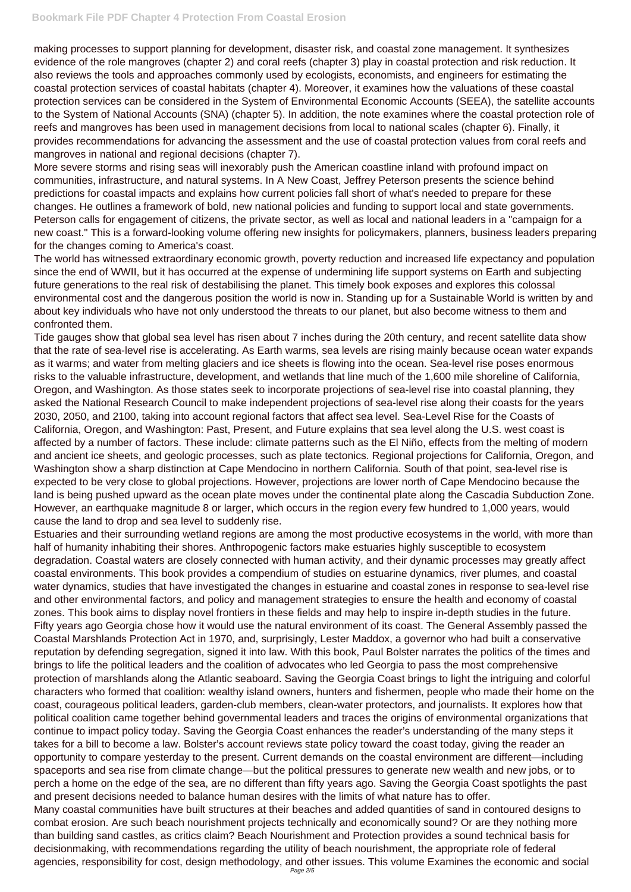making processes to support planning for development, disaster risk, and coastal zone management. It synthesizes evidence of the role mangroves (chapter 2) and coral reefs (chapter 3) play in coastal protection and risk reduction. It also reviews the tools and approaches commonly used by ecologists, economists, and engineers for estimating the coastal protection services of coastal habitats (chapter 4). Moreover, it examines how the valuations of these coastal protection services can be considered in the System of Environmental Economic Accounts (SEEA), the satellite accounts to the System of National Accounts (SNA) (chapter 5). In addition, the note examines where the coastal protection role of reefs and mangroves has been used in management decisions from local to national scales (chapter 6). Finally, it provides recommendations for advancing the assessment and the use of coastal protection values from coral reefs and mangroves in national and regional decisions (chapter 7).

More severe storms and rising seas will inexorably push the American coastline inland with profound impact on communities, infrastructure, and natural systems. In A New Coast, Jeffrey Peterson presents the science behind predictions for coastal impacts and explains how current policies fall short of what's needed to prepare for these changes. He outlines a framework of bold, new national policies and funding to support local and state governments. Peterson calls for engagement of citizens, the private sector, as well as local and national leaders in a "campaign for a new coast." This is a forward-looking volume offering new insights for policymakers, planners, business leaders preparing for the changes coming to America's coast.

The world has witnessed extraordinary economic growth, poverty reduction and increased life expectancy and population since the end of WWII, but it has occurred at the expense of undermining life support systems on Earth and subjecting future generations to the real risk of destabilising the planet. This timely book exposes and explores this colossal environmental cost and the dangerous position the world is now in. Standing up for a Sustainable World is written by and about key individuals who have not only understood the threats to our planet, but also become witness to them and confronted them.

Tide gauges show that global sea level has risen about 7 inches during the 20th century, and recent satellite data show that the rate of sea-level rise is accelerating. As Earth warms, sea levels are rising mainly because ocean water expands as it warms; and water from melting glaciers and ice sheets is flowing into the ocean. Sea-level rise poses enormous risks to the valuable infrastructure, development, and wetlands that line much of the 1,600 mile shoreline of California, Oregon, and Washington. As those states seek to incorporate projections of sea-level rise into coastal planning, they asked the National Research Council to make independent projections of sea-level rise along their coasts for the years 2030, 2050, and 2100, taking into account regional factors that affect sea level. Sea-Level Rise for the Coasts of California, Oregon, and Washington: Past, Present, and Future explains that sea level along the U.S. west coast is affected by a number of factors. These include: climate patterns such as the El Niño, effects from the melting of modern and ancient ice sheets, and geologic processes, such as plate tectonics. Regional projections for California, Oregon, and Washington show a sharp distinction at Cape Mendocino in northern California. South of that point, sea-level rise is expected to be very close to global projections. However, projections are lower north of Cape Mendocino because the land is being pushed upward as the ocean plate moves under the continental plate along the Cascadia Subduction Zone. However, an earthquake magnitude 8 or larger, which occurs in the region every few hundred to 1,000 years, would cause the land to drop and sea level to suddenly rise.

Estuaries and their surrounding wetland regions are among the most productive ecosystems in the world, with more than half of humanity inhabiting their shores. Anthropogenic factors make estuaries highly susceptible to ecosystem degradation. Coastal waters are closely connected with human activity, and their dynamic processes may greatly affect coastal environments. This book provides a compendium of studies on estuarine dynamics, river plumes, and coastal water dynamics, studies that have investigated the changes in estuarine and coastal zones in response to sea-level rise and other environmental factors, and policy and management strategies to ensure the health and economy of coastal zones. This book aims to display novel frontiers in these fields and may help to inspire in-depth studies in the future. Fifty years ago Georgia chose how it would use the natural environment of its coast. The General Assembly passed the Coastal Marshlands Protection Act in 1970, and, surprisingly, Lester Maddox, a governor who had built a conservative reputation by defending segregation, signed it into law. With this book, Paul Bolster narrates the politics of the times and brings to life the political leaders and the coalition of advocates who led Georgia to pass the most comprehensive protection of marshlands along the Atlantic seaboard. Saving the Georgia Coast brings to light the intriguing and colorful characters who formed that coalition: wealthy island owners, hunters and fishermen, people who made their home on the coast, courageous political leaders, garden-club members, clean-water protectors, and journalists. It explores how that political coalition came together behind governmental leaders and traces the origins of environmental organizations that continue to impact policy today. Saving the Georgia Coast enhances the reader's understanding of the many steps it takes for a bill to become a law. Bolster's account reviews state policy toward the coast today, giving the reader an opportunity to compare yesterday to the present. Current demands on the coastal environment are different—including spaceports and sea rise from climate change—but the political pressures to generate new wealth and new jobs, or to perch a home on the edge of the sea, are no different than fifty years ago. Saving the Georgia Coast spotlights the past and present decisions needed to balance human desires with the limits of what nature has to offer. Many coastal communities have built structures at their beaches and added quantities of sand in contoured designs to combat erosion. Are such beach nourishment projects technically and economically sound? Or are they nothing more than building sand castles, as critics claim? Beach Nourishment and Protection provides a sound technical basis for decisionmaking, with recommendations regarding the utility of beach nourishment, the appropriate role of federal agencies, responsibility for cost, design methodology, and other issues. This volume Examines the economic and social Page 2/5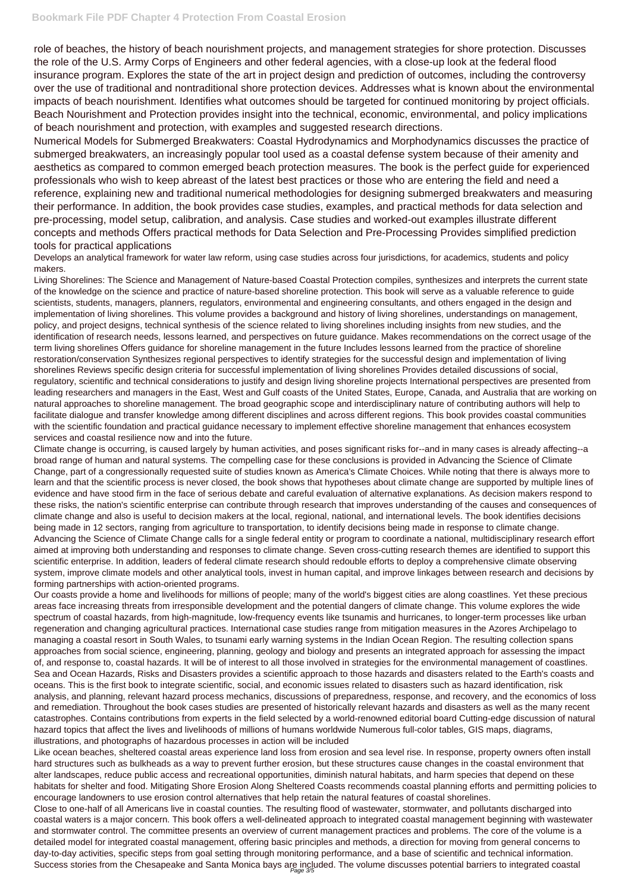## **Bookmark File PDF Chapter 4 Protection From Coastal Erosion**

role of beaches, the history of beach nourishment projects, and management strategies for shore protection. Discusses the role of the U.S. Army Corps of Engineers and other federal agencies, with a close-up look at the federal flood insurance program. Explores the state of the art in project design and prediction of outcomes, including the controversy over the use of traditional and nontraditional shore protection devices. Addresses what is known about the environmental impacts of beach nourishment. Identifies what outcomes should be targeted for continued monitoring by project officials. Beach Nourishment and Protection provides insight into the technical, economic, environmental, and policy implications of beach nourishment and protection, with examples and suggested research directions.

Numerical Models for Submerged Breakwaters: Coastal Hydrodynamics and Morphodynamics discusses the practice of submerged breakwaters, an increasingly popular tool used as a coastal defense system because of their amenity and aesthetics as compared to common emerged beach protection measures. The book is the perfect guide for experienced professionals who wish to keep abreast of the latest best practices or those who are entering the field and need a reference, explaining new and traditional numerical methodologies for designing submerged breakwaters and measuring their performance. In addition, the book provides case studies, examples, and practical methods for data selection and pre-processing, model setup, calibration, and analysis. Case studies and worked-out examples illustrate different concepts and methods Offers practical methods for Data Selection and Pre-Processing Provides simplified prediction tools for practical applications

Develops an analytical framework for water law reform, using case studies across four jurisdictions, for academics, students and policy makers.

Living Shorelines: The Science and Management of Nature-based Coastal Protection compiles, synthesizes and interprets the current state of the knowledge on the science and practice of nature-based shoreline protection. This book will serve as a valuable reference to guide scientists, students, managers, planners, regulators, environmental and engineering consultants, and others engaged in the design and implementation of living shorelines. This volume provides a background and history of living shorelines, understandings on management, policy, and project designs, technical synthesis of the science related to living shorelines including insights from new studies, and the identification of research needs, lessons learned, and perspectives on future guidance. Makes recommendations on the correct usage of the term living shorelines Offers guidance for shoreline management in the future Includes lessons learned from the practice of shoreline restoration/conservation Synthesizes regional perspectives to identify strategies for the successful design and implementation of living shorelines Reviews specific design criteria for successful implementation of living shorelines Provides detailed discussions of social, regulatory, scientific and technical considerations to justify and design living shoreline projects International perspectives are presented from leading researchers and managers in the East, West and Gulf coasts of the United States, Europe, Canada, and Australia that are working on natural approaches to shoreline management. The broad geographic scope and interdisciplinary nature of contributing authors will help to facilitate dialogue and transfer knowledge among different disciplines and across different regions. This book provides coastal communities with the scientific foundation and practical guidance necessary to implement effective shoreline management that enhances ecosystem services and coastal resilience now and into the future.

Close to one-half of all Americans live in coastal counties. The resulting flood of wastewater, stormwater, and pollutants discharged into coastal waters is a major concern. This book offers a well-delineated approach to integrated coastal management beginning with wastewater and stormwater control. The committee presents an overview of current management practices and problems. The core of the volume is a detailed model for integrated coastal management, offering basic principles and methods, a direction for moving from general concerns to day-to-day activities, specific steps from goal setting through monitoring performance, and a base of scientific and technical information. Success stories from the Chesapeake and Santa Monica bays are included. The volume discusses potential barriers to integrated coastal

Climate change is occurring, is caused largely by human activities, and poses significant risks for--and in many cases is already affecting--a broad range of human and natural systems. The compelling case for these conclusions is provided in Advancing the Science of Climate Change, part of a congressionally requested suite of studies known as America's Climate Choices. While noting that there is always more to learn and that the scientific process is never closed, the book shows that hypotheses about climate change are supported by multiple lines of evidence and have stood firm in the face of serious debate and careful evaluation of alternative explanations. As decision makers respond to these risks, the nation's scientific enterprise can contribute through research that improves understanding of the causes and consequences of climate change and also is useful to decision makers at the local, regional, national, and international levels. The book identifies decisions being made in 12 sectors, ranging from agriculture to transportation, to identify decisions being made in response to climate change. Advancing the Science of Climate Change calls for a single federal entity or program to coordinate a national, multidisciplinary research effort aimed at improving both understanding and responses to climate change. Seven cross-cutting research themes are identified to support this scientific enterprise. In addition, leaders of federal climate research should redouble efforts to deploy a comprehensive climate observing system, improve climate models and other analytical tools, invest in human capital, and improve linkages between research and decisions by forming partnerships with action-oriented programs.

Our coasts provide a home and livelihoods for millions of people; many of the world's biggest cities are along coastlines. Yet these precious areas face increasing threats from irresponsible development and the potential dangers of climate change. This volume explores the wide spectrum of coastal hazards, from high-magnitude, low-frequency events like tsunamis and hurricanes, to longer-term processes like urban regeneration and changing agricultural practices. International case studies range from mitigation measures in the Azores Archipelago to managing a coastal resort in South Wales, to tsunami early warning systems in the Indian Ocean Region. The resulting collection spans approaches from social science, engineering, planning, geology and biology and presents an integrated approach for assessing the impact of, and response to, coastal hazards. It will be of interest to all those involved in strategies for the environmental management of coastlines. Sea and Ocean Hazards, Risks and Disasters provides a scientific approach to those hazards and disasters related to the Earth's coasts and oceans. This is the first book to integrate scientific, social, and economic issues related to disasters such as hazard identification, risk analysis, and planning, relevant hazard process mechanics, discussions of preparedness, response, and recovery, and the economics of loss and remediation. Throughout the book cases studies are presented of historically relevant hazards and disasters as well as the many recent catastrophes. Contains contributions from experts in the field selected by a world-renowned editorial board Cutting-edge discussion of natural hazard topics that affect the lives and livelihoods of millions of humans worldwide Numerous full-color tables, GIS maps, diagrams, illustrations, and photographs of hazardous processes in action will be included

Like ocean beaches, sheltered coastal areas experience land loss from erosion and sea level rise. In response, property owners often install hard structures such as bulkheads as a way to prevent further erosion, but these structures cause changes in the coastal environment that alter landscapes, reduce public access and recreational opportunities, diminish natural habitats, and harm species that depend on these habitats for shelter and food. Mitigating Shore Erosion Along Sheltered Coasts recommends coastal planning efforts and permitting policies to encourage landowners to use erosion control alternatives that help retain the natural features of coastal shorelines.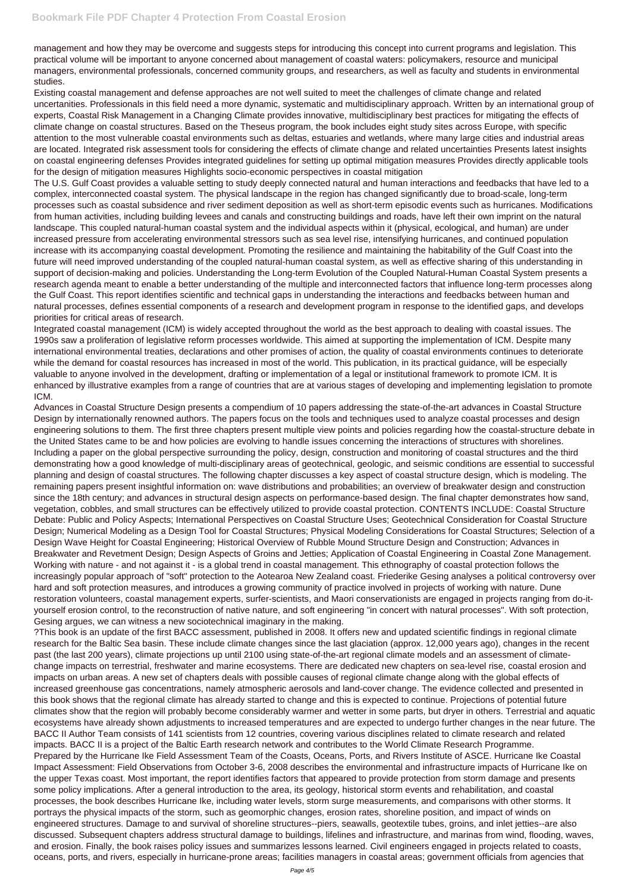management and how they may be overcome and suggests steps for introducing this concept into current programs and legislation. This practical volume will be important to anyone concerned about management of coastal waters: policymakers, resource and municipal managers, environmental professionals, concerned community groups, and researchers, as well as faculty and students in environmental studies.

Existing coastal management and defense approaches are not well suited to meet the challenges of climate change and related uncertanities. Professionals in this field need a more dynamic, systematic and multidisciplinary approach. Written by an international group of experts, Coastal Risk Management in a Changing Climate provides innovative, multidisciplinary best practices for mitigating the effects of climate change on coastal structures. Based on the Theseus program, the book includes eight study sites across Europe, with specific attention to the most vulnerable coastal environments such as deltas, estuaries and wetlands, where many large cities and industrial areas are located. Integrated risk assessment tools for considering the effects of climate change and related uncertainties Presents latest insights on coastal engineering defenses Provides integrated guidelines for setting up optimal mitigation measures Provides directly applicable tools for the design of mitigation measures Highlights socio-economic perspectives in coastal mitigation

The U.S. Gulf Coast provides a valuable setting to study deeply connected natural and human interactions and feedbacks that have led to a complex, interconnected coastal system. The physical landscape in the region has changed significantly due to broad-scale, long-term processes such as coastal subsidence and river sediment deposition as well as short-term episodic events such as hurricanes. Modifications from human activities, including building levees and canals and constructing buildings and roads, have left their own imprint on the natural landscape. This coupled natural-human coastal system and the individual aspects within it (physical, ecological, and human) are under increased pressure from accelerating environmental stressors such as sea level rise, intensifying hurricanes, and continued population increase with its accompanying coastal development. Promoting the resilience and maintaining the habitability of the Gulf Coast into the future will need improved understanding of the coupled natural-human coastal system, as well as effective sharing of this understanding in support of decision-making and policies. Understanding the Long-term Evolution of the Coupled Natural-Human Coastal System presents a research agenda meant to enable a better understanding of the multiple and interconnected factors that influence long-term processes along the Gulf Coast. This report identifies scientific and technical gaps in understanding the interactions and feedbacks between human and natural processes, defines essential components of a research and development program in response to the identified gaps, and develops priorities for critical areas of research.

Integrated coastal management (ICM) is widely accepted throughout the world as the best approach to dealing with coastal issues. The 1990s saw a proliferation of legislative reform processes worldwide. This aimed at supporting the implementation of ICM. Despite many international environmental treaties, declarations and other promises of action, the quality of coastal environments continues to deteriorate while the demand for coastal resources has increased in most of the world. This publication, in its practical guidance, will be especially valuable to anyone involved in the development, drafting or implementation of a legal or institutional framework to promote ICM. It is enhanced by illustrative examples from a range of countries that are at various stages of developing and implementing legislation to promote ICM.

Advances in Coastal Structure Design presents a compendium of 10 papers addressing the state-of-the-art advances in Coastal Structure Design by internationally renowned authors. The papers focus on the tools and techniques used to analyze coastal processes and design engineering solutions to them. The first three chapters present multiple view points and policies regarding how the coastal-structure debate in the United States came to be and how policies are evolving to handle issues concerning the interactions of structures with shorelines. Including a paper on the global perspective surrounding the policy, design, construction and monitoring of coastal structures and the third demonstrating how a good knowledge of multi-disciplinary areas of geotechnical, geologic, and seismic conditions are essential to successful planning and design of coastal structures. The following chapter discusses a key aspect of coastal structure design, which is modeling. The remaining papers present insightful information on: wave distributions and probabilities; an overview of breakwater design and construction since the 18th century; and advances in structural design aspects on performance-based design. The final chapter demonstrates how sand, vegetation, cobbles, and small structures can be effectively utilized to provide coastal protection. CONTENTS INCLUDE: Coastal Structure Debate: Public and Policy Aspects; International Perspectives on Coastal Structure Uses; Geotechnical Consideration for Coastal Structure Design; Numerical Modeling as a Design Tool for Coastal Structures; Physical Modeling Considerations for Coastal Structures; Selection of a Design Wave Height for Coastal Engineering; Historical Overview of Rubble Mound Structure Design and Construction; Advances in Breakwater and Revetment Design; Design Aspects of Groins and Jetties; Application of Coastal Engineering in Coastal Zone Management. Working with nature - and not against it - is a global trend in coastal management. This ethnography of coastal protection follows the increasingly popular approach of "soft" protection to the Aotearoa New Zealand coast. Friederike Gesing analyses a political controversy over hard and soft protection measures, and introduces a growing community of practice involved in projects of working with nature. Dune restoration volunteers, coastal management experts, surfer-scientists, and Maori conservationists are engaged in projects ranging from do-ityourself erosion control, to the reconstruction of native nature, and soft engineering "in concert with natural processes". With soft protection, Gesing argues, we can witness a new sociotechnical imaginary in the making.

?This book is an update of the first BACC assessment, published in 2008. It offers new and updated scientific findings in regional climate research for the Baltic Sea basin. These include climate changes since the last glaciation (approx. 12,000 years ago), changes in the recent past (the last 200 years), climate projections up until 2100 using state-of-the-art regional climate models and an assessment of climatechange impacts on terrestrial, freshwater and marine ecosystems. There are dedicated new chapters on sea-level rise, coastal erosion and

impacts on urban areas. A new set of chapters deals with possible causes of regional climate change along with the global effects of increased greenhouse gas concentrations, namely atmospheric aerosols and land-cover change. The evidence collected and presented in this book shows that the regional climate has already started to change and this is expected to continue. Projections of potential future climates show that the region will probably become considerably warmer and wetter in some parts, but dryer in others. Terrestrial and aquatic ecosystems have already shown adjustments to increased temperatures and are expected to undergo further changes in the near future. The BACC II Author Team consists of 141 scientists from 12 countries, covering various disciplines related to climate research and related impacts. BACC II is a project of the Baltic Earth research network and contributes to the World Climate Research Programme. Prepared by the Hurricane Ike Field Assessment Team of the Coasts, Oceans, Ports, and Rivers Institute of ASCE. Hurricane Ike Coastal Impact Assessment: Field Observations from October 3-6, 2008 describes the environmental and infrastructure impacts of Hurricane Ike on the upper Texas coast. Most important, the report identifies factors that appeared to provide protection from storm damage and presents some policy implications. After a general introduction to the area, its geology, historical storm events and rehabilitation, and coastal processes, the book describes Hurricane Ike, including water levels, storm surge measurements, and comparisons with other storms. It portrays the physical impacts of the storm, such as geomorphic changes, erosion rates, shoreline position, and impact of winds on engineered structures. Damage to and survival of shoreline structures--piers, seawalls, geotextile tubes, groins, and inlet jetties--are also discussed. Subsequent chapters address structural damage to buildings, lifelines and infrastructure, and marinas from wind, flooding, waves, and erosion. Finally, the book raises policy issues and summarizes lessons learned. Civil engineers engaged in projects related to coasts, oceans, ports, and rivers, especially in hurricane-prone areas; facilities managers in coastal areas; government officials from agencies that